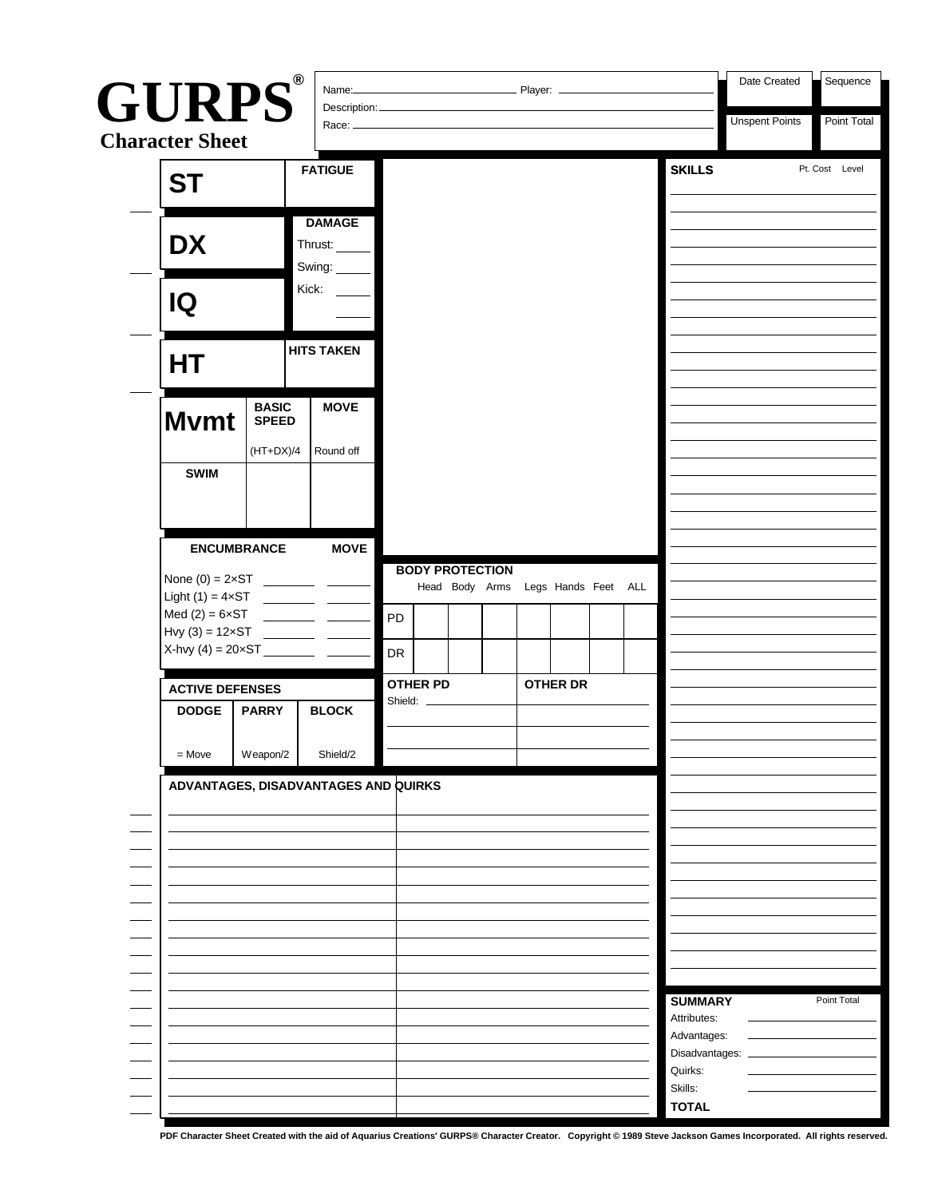| <b>GURPS®</b><br>Description:<br>Race: _<br><b>Character Sheet</b><br><b>SKILLS</b><br><b>FATIGUE</b><br><b>ST</b><br><b>DAMAGE</b><br><b>DX</b><br>Thrust:<br>Swing:<br>Kick:<br>IQ<br><b>HITS TAKEN</b><br>НT<br><b>BASIC</b><br><b>MOVE</b><br><b>M</b> vmt<br><b>SPEED</b><br>$(HT+DX)/4$<br>Round off<br><b>SWIM</b><br><b>MOVE</b><br><b>ENCUMBRANCE</b><br><b>BODY PROTECTION</b><br>Head Body Arms Legs Hands Feet ALL<br>Light $(1) = 4 \times ST$<br>Med $(2) = 6 \times ST$<br>PD<br>Hvy $(3) = 12 \times ST$<br>X-hvy (4) = $20 \times ST$ ___<br>DR<br><b>OTHER PD</b><br><b>OTHER DR</b><br><b>ACTIVE DEFENSES</b><br>Shield:<br><b>BLOCK</b><br><b>DODGE</b><br><b>PARRY</b><br>Weapon/2<br>$=$ Move<br>Shield/2<br>ADVANTAGES, DISADVANTAGES AND QUIRKS<br><b>SUMMARY</b><br>Attributes:<br>Advantages:<br>Disadvantages:<br>Quirks: |  |  | <b>Player:</b> _ | Date Created | Sequence |  |  |                       |                |
|------------------------------------------------------------------------------------------------------------------------------------------------------------------------------------------------------------------------------------------------------------------------------------------------------------------------------------------------------------------------------------------------------------------------------------------------------------------------------------------------------------------------------------------------------------------------------------------------------------------------------------------------------------------------------------------------------------------------------------------------------------------------------------------------------------------------------------------------------|--|--|------------------|--------------|----------|--|--|-----------------------|----------------|
|                                                                                                                                                                                                                                                                                                                                                                                                                                                                                                                                                                                                                                                                                                                                                                                                                                                      |  |  |                  |              |          |  |  | <b>Unspent Points</b> | Point Total    |
|                                                                                                                                                                                                                                                                                                                                                                                                                                                                                                                                                                                                                                                                                                                                                                                                                                                      |  |  |                  |              |          |  |  |                       | Pt. Cost Level |
|                                                                                                                                                                                                                                                                                                                                                                                                                                                                                                                                                                                                                                                                                                                                                                                                                                                      |  |  |                  |              |          |  |  |                       |                |
|                                                                                                                                                                                                                                                                                                                                                                                                                                                                                                                                                                                                                                                                                                                                                                                                                                                      |  |  |                  |              |          |  |  |                       |                |
|                                                                                                                                                                                                                                                                                                                                                                                                                                                                                                                                                                                                                                                                                                                                                                                                                                                      |  |  |                  |              |          |  |  |                       |                |
|                                                                                                                                                                                                                                                                                                                                                                                                                                                                                                                                                                                                                                                                                                                                                                                                                                                      |  |  |                  |              |          |  |  |                       |                |
|                                                                                                                                                                                                                                                                                                                                                                                                                                                                                                                                                                                                                                                                                                                                                                                                                                                      |  |  |                  |              |          |  |  |                       |                |
|                                                                                                                                                                                                                                                                                                                                                                                                                                                                                                                                                                                                                                                                                                                                                                                                                                                      |  |  |                  |              |          |  |  |                       |                |
|                                                                                                                                                                                                                                                                                                                                                                                                                                                                                                                                                                                                                                                                                                                                                                                                                                                      |  |  |                  |              |          |  |  |                       |                |
|                                                                                                                                                                                                                                                                                                                                                                                                                                                                                                                                                                                                                                                                                                                                                                                                                                                      |  |  |                  |              |          |  |  |                       |                |
|                                                                                                                                                                                                                                                                                                                                                                                                                                                                                                                                                                                                                                                                                                                                                                                                                                                      |  |  |                  |              |          |  |  |                       |                |
|                                                                                                                                                                                                                                                                                                                                                                                                                                                                                                                                                                                                                                                                                                                                                                                                                                                      |  |  |                  |              |          |  |  |                       |                |
|                                                                                                                                                                                                                                                                                                                                                                                                                                                                                                                                                                                                                                                                                                                                                                                                                                                      |  |  |                  |              |          |  |  |                       |                |
|                                                                                                                                                                                                                                                                                                                                                                                                                                                                                                                                                                                                                                                                                                                                                                                                                                                      |  |  |                  |              |          |  |  |                       | Point Total    |
| Skills:<br><b>TOTAL</b>                                                                                                                                                                                                                                                                                                                                                                                                                                                                                                                                                                                                                                                                                                                                                                                                                              |  |  |                  |              |          |  |  |                       |                |